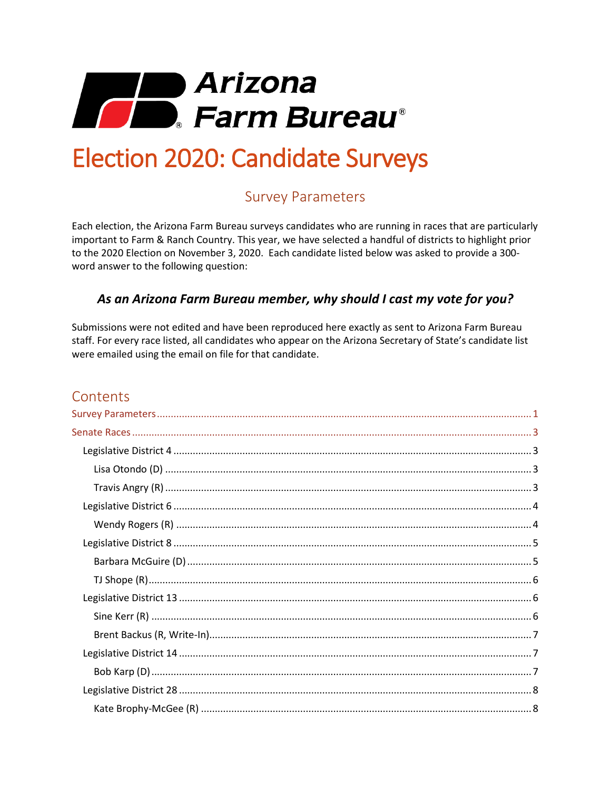

# <span id="page-0-0"></span>**Election 2020: Candidate Surveys**

# **Survey Parameters**

Each election, the Arizona Farm Bureau surveys candidates who are running in races that are particularly important to Farm & Ranch Country. This year, we have selected a handful of districts to highlight prior to the 2020 Election on November 3, 2020. Each candidate listed below was asked to provide a 300word answer to the following question:

## As an Arizona Farm Bureau member, why should I cast my vote for you?

Submissions were not edited and have been reproduced here exactly as sent to Arizona Farm Bureau staff. For every race listed, all candidates who appear on the Arizona Secretary of State's candidate list were emailed using the email on file for that candidate.

# Contents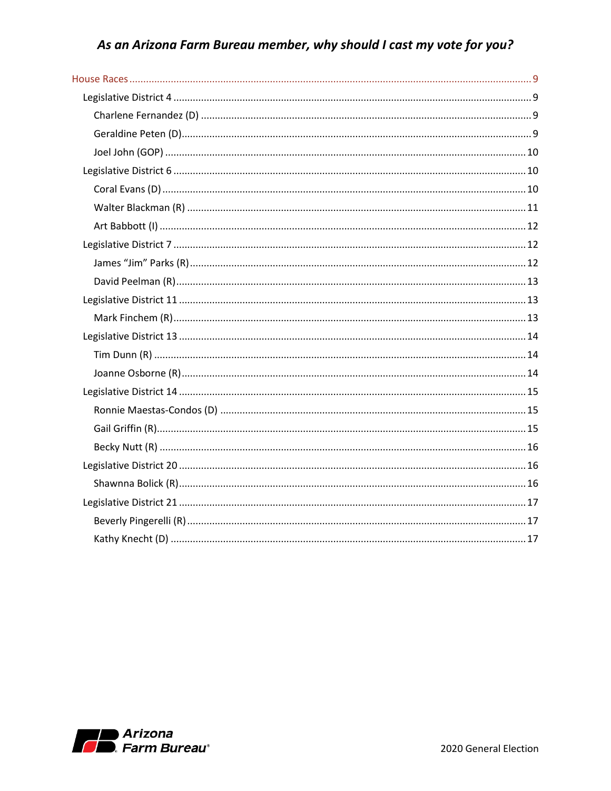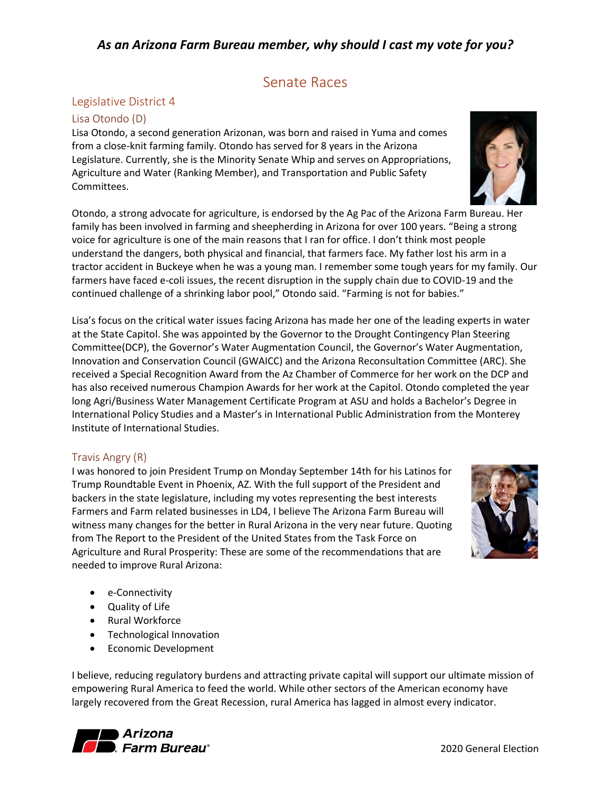# Senate Races

## <span id="page-2-1"></span><span id="page-2-0"></span>Legislative District 4

#### <span id="page-2-2"></span>Lisa Otondo (D)

Lisa Otondo, a second generation Arizonan, was born and raised in Yuma and comes from a close-knit farming family. Otondo has served for 8 years in the Arizona Legislature. Currently, she is the Minority Senate Whip and serves on Appropriations, Agriculture and Water (Ranking Member), and Transportation and Public Safety Committees.

Otondo, a strong advocate for agriculture, is endorsed by the Ag Pac of the Arizona Farm Bureau. Her family has been involved in farming and sheepherding in Arizona for over 100 years. "Being a strong voice for agriculture is one of the main reasons that I ran for office. I don't think most people understand the dangers, both physical and financial, that farmers face. My father lost his arm in a tractor accident in Buckeye when he was a young man. I remember some tough years for my family. Our farmers have faced e-coli issues, the recent disruption in the supply chain due to COVID-19 and the continued challenge of a shrinking labor pool," Otondo said. "Farming is not for babies."

Lisa's focus on the critical water issues facing Arizona has made her one of the leading experts in water at the State Capitol. She was appointed by the Governor to the Drought Contingency Plan Steering Committee(DCP), the Governor's Water Augmentation Council, the Governor's Water Augmentation, Innovation and Conservation Council (GWAICC) and the Arizona Reconsultation Committee (ARC). She received a Special Recognition Award from the Az Chamber of Commerce for her work on the DCP and has also received numerous Champion Awards for her work at the Capitol. Otondo completed the year long Agri/Business Water Management Certificate Program at ASU and holds a Bachelor's Degree in International Policy Studies and a Master's in International Public Administration from the Monterey Institute of International Studies.

#### <span id="page-2-3"></span>Travis Angry (R)

I was honored to join President Trump on Monday September 14th for his Latinos for Trump Roundtable Event in Phoenix, AZ. With the full support of the President and backers in the state legislature, including my votes representing the best interests Farmers and Farm related businesses in LD4, I believe The Arizona Farm Bureau will witness many changes for the better in Rural Arizona in the very near future. Quoting from The Report to the President of the United States from the Task Force on Agriculture and Rural Prosperity: These are some of the recommendations that are needed to improve Rural Arizona:

- e-Connectivity
- Quality of Life
- Rural Workforce
- Technological Innovation
- Economic Development

I believe, reducing regulatory burdens and attracting private capital will support our ultimate mission of empowering Rural America to feed the world. While other sectors of the American economy have largely recovered from the Great Recession, rural America has lagged in almost every indicator.





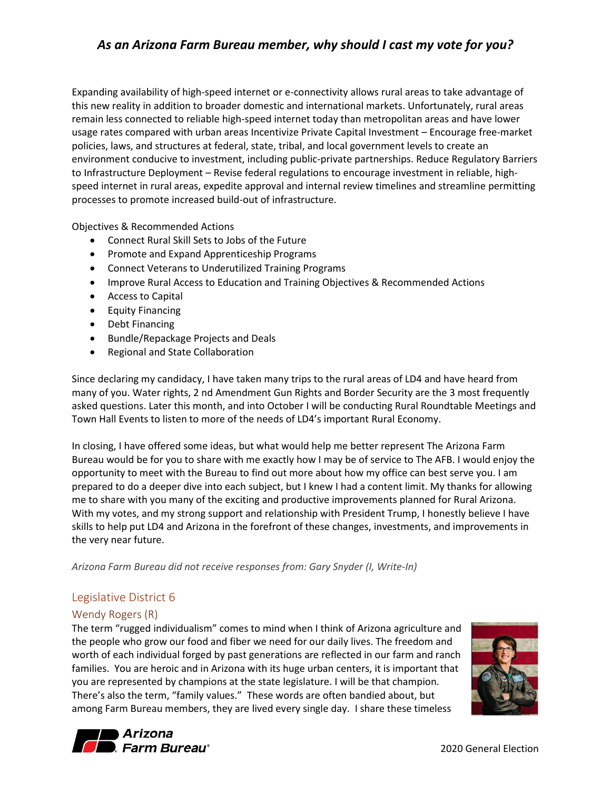Expanding availability of high-speed internet or e-connectivity allows rural areas to take advantage of this new reality in addition to broader domestic and international markets. Unfortunately, rural areas remain less connected to reliable high-speed internet today than metropolitan areas and have lower usage rates compared with urban areas Incentivize Private Capital Investment – Encourage free-market policies, laws, and structures at federal, state, tribal, and local government levels to create an environment conducive to investment, including public-private partnerships. Reduce Regulatory Barriers to Infrastructure Deployment – Revise federal regulations to encourage investment in reliable, highspeed internet in rural areas, expedite approval and internal review timelines and streamline permitting processes to promote increased build-out of infrastructure.

Objectives & Recommended Actions

- Connect Rural Skill Sets to Jobs of the Future
- Promote and Expand Apprenticeship Programs
- Connect Veterans to Underutilized Training Programs
- Improve Rural Access to Education and Training Objectives & Recommended Actions
- Access to Capital
- Equity Financing
- Debt Financing
- Bundle/Repackage Projects and Deals
- Regional and State Collaboration

Since declaring my candidacy, I have taken many trips to the rural areas of LD4 and have heard from many of you. Water rights, 2 nd Amendment Gun Rights and Border Security are the 3 most frequently asked questions. Later this month, and into October I will be conducting Rural Roundtable Meetings and Town Hall Events to listen to more of the needs of LD4's important Rural Economy.

In closing, I have offered some ideas, but what would help me better represent The Arizona Farm Bureau would be for you to share with me exactly how I may be of service to The AFB. I would enjoy the opportunity to meet with the Bureau to find out more about how my office can best serve you. I am prepared to do a deeper dive into each subject, but I knew I had a content limit. My thanks for allowing me to share with you many of the exciting and productive improvements planned for Rural Arizona. With my votes, and my strong support and relationship with President Trump, I honestly believe I have skills to help put LD4 and Arizona in the forefront of these changes, investments, and improvements in the very near future.

*Arizona Farm Bureau did not receive responses from: Gary Snyder (I, Write-In)*

#### <span id="page-3-0"></span>Legislative District 6

#### <span id="page-3-1"></span>Wendy Rogers (R)

The term "rugged individualism" comes to mind when I think of Arizona agriculture and the people who grow our food and fiber we need for our daily lives. The freedom and worth of each individual forged by past generations are reflected in our farm and ranch families. You are heroic and in Arizona with its huge urban centers, it is important that you are represented by champions at the state legislature. I will be that champion. There's also the term, "family values." These words are often bandied about, but among Farm Bureau members, they are lived every single day. I share these timeless



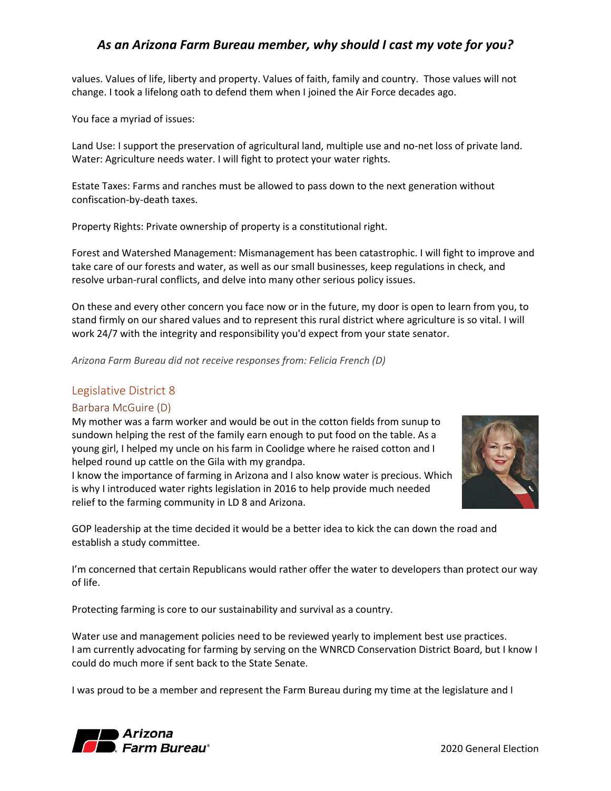values. Values of life, liberty and property. Values of faith, family and country. Those values will not change. I took a lifelong oath to defend them when I joined the Air Force decades ago.

You face a myriad of issues:

Land Use: I support the preservation of agricultural land, multiple use and no-net loss of private land. Water: Agriculture needs water. I will fight to protect your water rights.

Estate Taxes: Farms and ranches must be allowed to pass down to the next generation without confiscation-by-death taxes.

Property Rights: Private ownership of property is a constitutional right.

Forest and Watershed Management: Mismanagement has been catastrophic. I will fight to improve and take care of our forests and water, as well as our small businesses, keep regulations in check, and resolve urban-rural conflicts, and delve into many other serious policy issues.

On these and every other concern you face now or in the future, my door is open to learn from you, to stand firmly on our shared values and to represent this rural district where agriculture is so vital. I will work 24/7 with the integrity and responsibility you'd expect from your state senator.

*Arizona Farm Bureau did not receive responses from: Felicia French (D)*

#### <span id="page-4-0"></span>Legislative District 8

#### <span id="page-4-1"></span>Barbara McGuire (D)

My mother was a farm worker and would be out in the cotton fields from sunup to sundown helping the rest of the family earn enough to put food on the table. As a young girl, I helped my uncle on his farm in Coolidge where he raised cotton and I helped round up cattle on the Gila with my grandpa.

I know the importance of farming in Arizona and I also know water is precious. Which is why I introduced water rights legislation in 2016 to help provide much needed relief to the farming community in LD 8 and Arizona.



GOP leadership at the time decided it would be a better idea to kick the can down the road and establish a study committee.

I'm concerned that certain Republicans would rather offer the water to developers than protect our way of life.

Protecting farming is core to our sustainability and survival as a country.

Water use and management policies need to be reviewed yearly to implement best use practices. I am currently advocating for farming by serving on the WNRCD Conservation District Board, but I know I could do much more if sent back to the State Senate.

I was proud to be a member and represent the Farm Bureau during my time at the legislature and I

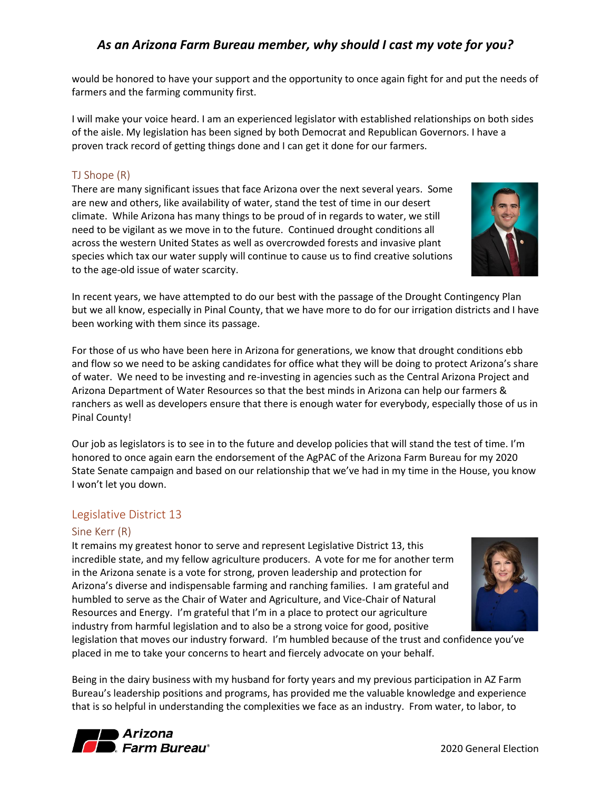would be honored to have your support and the opportunity to once again fight for and put the needs of farmers and the farming community first.

I will make your voice heard. I am an experienced legislator with established relationships on both sides of the aisle. My legislation has been signed by both Democrat and Republican Governors. I have a proven track record of getting things done and I can get it done for our farmers.

## <span id="page-5-0"></span>TJ Shope (R)

There are many significant issues that face Arizona over the next several years. Some are new and others, like availability of water, stand the test of time in our desert climate. While Arizona has many things to be proud of in regards to water, we still need to be vigilant as we move in to the future. Continued drought conditions all across the western United States as well as overcrowded forests and invasive plant species which tax our water supply will continue to cause us to find creative solutions to the age-old issue of water scarcity.



In recent years, we have attempted to do our best with the passage of the Drought Contingency Plan but we all know, especially in Pinal County, that we have more to do for our irrigation districts and I have been working with them since its passage.

For those of us who have been here in Arizona for generations, we know that drought conditions ebb and flow so we need to be asking candidates for office what they will be doing to protect Arizona's share of water. We need to be investing and re-investing in agencies such as the Central Arizona Project and Arizona Department of Water Resources so that the best minds in Arizona can help our farmers & ranchers as well as developers ensure that there is enough water for everybody, especially those of us in Pinal County!

Our job as legislators is to see in to the future and develop policies that will stand the test of time. I'm honored to once again earn the endorsement of the AgPAC of the Arizona Farm Bureau for my 2020 State Senate campaign and based on our relationship that we've had in my time in the House, you know I won't let you down.

#### <span id="page-5-1"></span>Legislative District 13

#### <span id="page-5-2"></span>Sine Kerr (R)

It remains my greatest honor to serve and represent Legislative District 13, this incredible state, and my fellow agriculture producers. A vote for me for another term in the Arizona senate is a vote for strong, proven leadership and protection for Arizona's diverse and indispensable farming and ranching families. I am grateful and humbled to serve as the Chair of Water and Agriculture, and Vice-Chair of Natural Resources and Energy. I'm grateful that I'm in a place to protect our agriculture industry from harmful legislation and to also be a strong voice for good, positive



legislation that moves our industry forward. I'm humbled because of the trust and confidence you've placed in me to take your concerns to heart and fiercely advocate on your behalf.

Being in the dairy business with my husband for forty years and my previous participation in AZ Farm Bureau's leadership positions and programs, has provided me the valuable knowledge and experience that is so helpful in understanding the complexities we face as an industry. From water, to labor, to

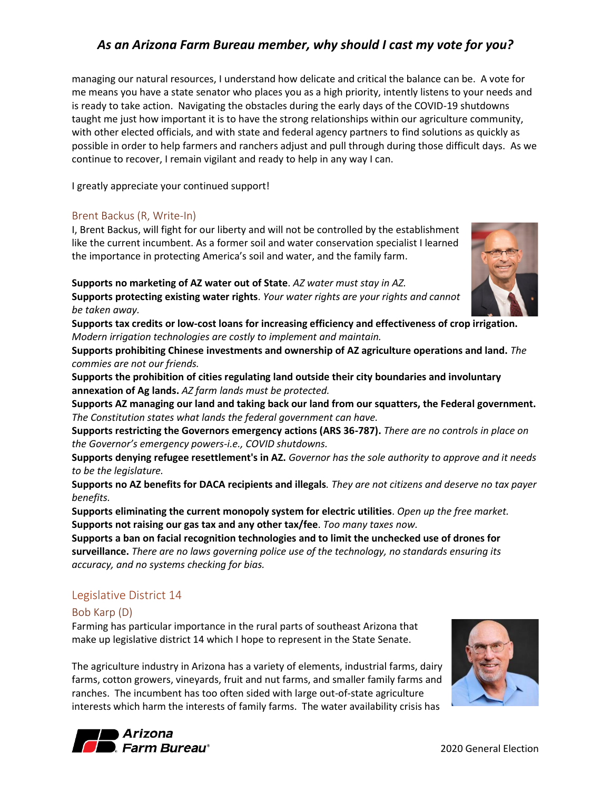managing our natural resources, I understand how delicate and critical the balance can be. A vote for me means you have a state senator who places you as a high priority, intently listens to your needs and is ready to take action. Navigating the obstacles during the early days of the COVID-19 shutdowns taught me just how important it is to have the strong relationships within our agriculture community, with other elected officials, and with state and federal agency partners to find solutions as quickly as possible in order to help farmers and ranchers adjust and pull through during those difficult days. As we continue to recover, I remain vigilant and ready to help in any way I can.

I greatly appreciate your continued support!

#### <span id="page-6-0"></span>Brent Backus (R, Write-In)

I, Brent Backus, will fight for our liberty and will not be controlled by the establishment like the current incumbent. As a former soil and water conservation specialist I learned the importance in protecting America's soil and water, and the family farm.

**Supports no marketing of AZ water out of State**. *AZ water must stay in AZ.*



**Supports protecting existing water rights**. *Your water rights are your rights and cannot be taken away.*

**Supports tax credits or low-cost loans for increasing efficiency and effectiveness of crop irrigation.** *Modern irrigation technologies are costly to implement and maintain.*

**Supports prohibiting Chinese investments and ownership of AZ agriculture operations and land.** *The commies are not our friends.*

**Supports the prohibition of cities regulating land outside their city boundaries and involuntary annexation of Ag lands.** *AZ farm lands must be protected.*

**Supports AZ managing our land and taking back our land from our squatters, the Federal government.**  *The Constitution states what lands the federal government can have.*

**Supports restricting the Governors emergency actions (ARS 36-787).** *There are no controls in place on the Governor's emergency powers-i.e., COVID shutdowns.*

**Supports denying refugee resettlement's in AZ.** *Governor has the sole authority to approve and it needs to be the legislature.*

**Supports no AZ benefits for DACA recipients and illegals***. They are not citizens and deserve no tax payer benefits.*

**Supports eliminating the current monopoly system for electric utilities**. *Open up the free market.* **Supports not raising our gas tax and any other tax/fee**. *Too many taxes now.*

**Supports a ban on facial recognition technologies and to limit the unchecked use of drones for surveillance.** *There are no laws governing police use of the technology, no standards ensuring its accuracy, and no systems checking for bias.*

#### <span id="page-6-1"></span>Legislative District 14

#### <span id="page-6-2"></span>Bob Karp (D)

Farming has particular importance in the rural parts of southeast Arizona that make up legislative district 14 which I hope to represent in the State Senate.

The agriculture industry in Arizona has a variety of elements, industrial farms, dairy farms, cotton growers, vineyards, fruit and nut farms, and smaller family farms and ranches. The incumbent has too often sided with large out-of-state agriculture interests which harm the interests of family farms. The water availability crisis has



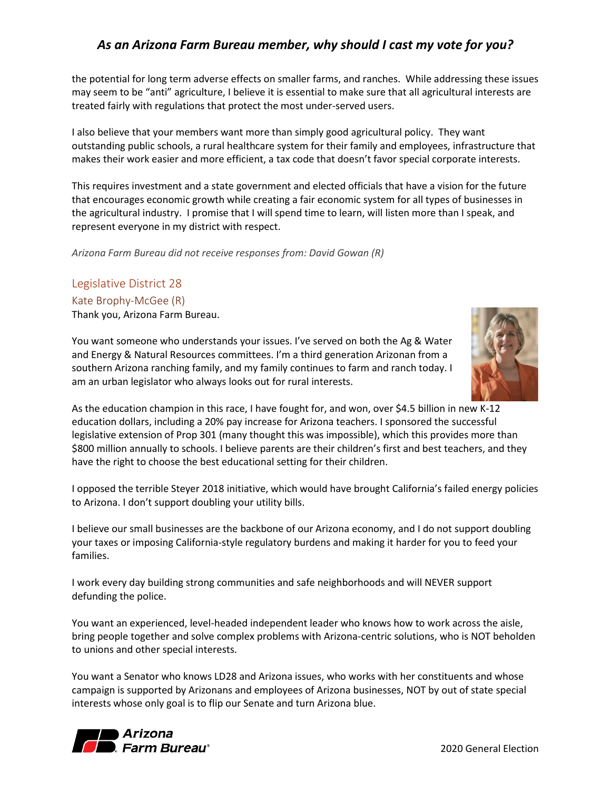the potential for long term adverse effects on smaller farms, and ranches. While addressing these issues may seem to be "anti" agriculture, I believe it is essential to make sure that all agricultural interests are treated fairly with regulations that protect the most under-served users.

I also believe that your members want more than simply good agricultural policy. They want outstanding public schools, a rural healthcare system for their family and employees, infrastructure that makes their work easier and more efficient, a tax code that doesn't favor special corporate interests.

This requires investment and a state government and elected officials that have a vision for the future that encourages economic growth while creating a fair economic system for all types of businesses in the agricultural industry. I promise that I will spend time to learn, will listen more than I speak, and represent everyone in my district with respect.

*Arizona Farm Bureau did not receive responses from: David Gowan (R)*

# <span id="page-7-0"></span>Legislative District 28

#### <span id="page-7-1"></span>Kate Brophy-McGee (R)

Thank you, Arizona Farm Bureau.

You want someone who understands your issues. I've served on both the Ag & Water and Energy & Natural Resources committees. I'm a third generation Arizonan from a southern Arizona ranching family, and my family continues to farm and ranch today. I am an urban legislator who always looks out for rural interests.



As the education champion in this race, I have fought for, and won, over \$4.5 billion in new K-12 education dollars, including a 20% pay increase for Arizona teachers. I sponsored the successful legislative extension of Prop 301 (many thought this was impossible), which this provides more than \$800 million annually to schools. I believe parents are their children's first and best teachers, and they have the right to choose the best educational setting for their children.

I opposed the terrible Steyer 2018 initiative, which would have brought California's failed energy policies to Arizona. I don't support doubling your utility bills.

I believe our small businesses are the backbone of our Arizona economy, and I do not support doubling your taxes or imposing California-style regulatory burdens and making it harder for you to feed your families.

I work every day building strong communities and safe neighborhoods and will NEVER support defunding the police.

You want an experienced, level-headed independent leader who knows how to work across the aisle, bring people together and solve complex problems with Arizona-centric solutions, who is NOT beholden to unions and other special interests.

You want a Senator who knows LD28 and Arizona issues, who works with her constituents and whose campaign is supported by Arizonans and employees of Arizona businesses, NOT by out of state special interests whose only goal is to flip our Senate and turn Arizona blue.

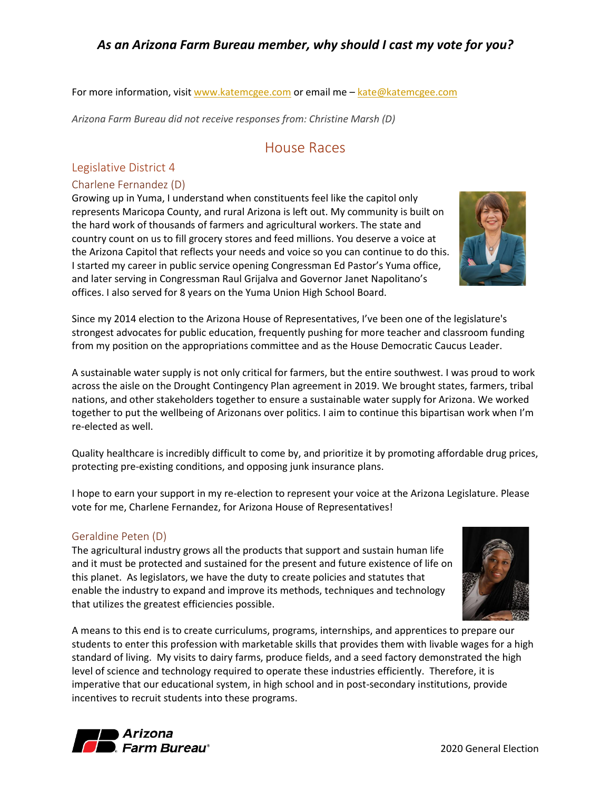For more information, visi[t www.katemcgee.com](http://www.katemcgee.com/) or email me - [kate@katemcgee.com](mailto:kate@katemcgee.com)

<span id="page-8-0"></span>*Arizona Farm Bureau did not receive responses from: Christine Marsh (D)*

## House Races

## <span id="page-8-1"></span>Legislative District 4

## <span id="page-8-2"></span>Charlene Fernandez (D)

Growing up in Yuma, I understand when constituents feel like the capitol only represents Maricopa County, and rural Arizona is left out. My community is built on the hard work of thousands of farmers and agricultural workers. The state and country count on us to fill grocery stores and feed millions. You deserve a voice at the Arizona Capitol that reflects your needs and voice so you can continue to do this. I started my career in public service opening Congressman Ed Pastor's Yuma office, and later serving in Congressman Raul Grijalva and Governor Janet Napolitano's offices. I also served for 8 years on the Yuma Union High School Board.

Since my 2014 election to the Arizona House of Representatives, I've been one of the legislature's strongest advocates for public education, frequently pushing for more teacher and classroom funding from my position on the appropriations committee and as the House Democratic Caucus Leader.

A sustainable water supply is not only critical for farmers, but the entire southwest. I was proud to work across the aisle on the Drought Contingency Plan agreement in 2019. We brought states, farmers, tribal nations, and other stakeholders together to ensure a sustainable water supply for Arizona. We worked together to put the wellbeing of Arizonans over politics. I aim to continue this bipartisan work when I'm re-elected as well.

Quality healthcare is incredibly difficult to come by, and prioritize it by promoting affordable drug prices, protecting pre-existing conditions, and opposing junk insurance plans.

I hope to earn your support in my re-election to represent your voice at the Arizona Legislature. Please vote for me, Charlene Fernandez, for Arizona House of Representatives!

#### <span id="page-8-3"></span>Geraldine Peten (D)

The agricultural industry grows all the products that support and sustain human life and it must be protected and sustained for the present and future existence of life on this planet. As legislators, we have the duty to create policies and statutes that enable the industry to expand and improve its methods, techniques and technology that utilizes the greatest efficiencies possible.

A means to this end is to create curriculums, programs, internships, and apprentices to prepare our students to enter this profession with marketable skills that provides them with livable wages for a high standard of living. My visits to dairy farms, produce fields, and a seed factory demonstrated the high level of science and technology required to operate these industries efficiently. Therefore, it is imperative that our educational system, in high school and in post-secondary institutions, provide incentives to recruit students into these programs.





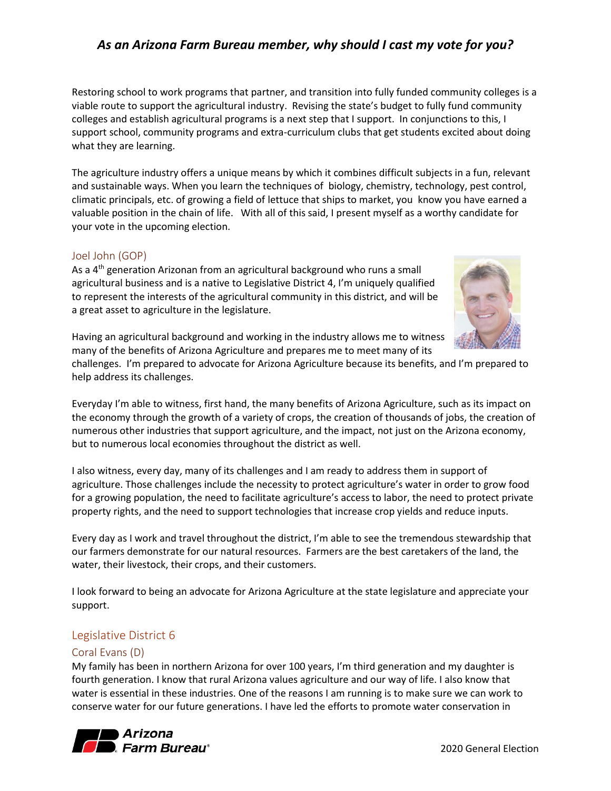Restoring school to work programs that partner, and transition into fully funded community colleges is a viable route to support the agricultural industry. Revising the state's budget to fully fund community colleges and establish agricultural programs is a next step that I support. In conjunctions to this, I support school, community programs and extra-curriculum clubs that get students excited about doing what they are learning.

The agriculture industry offers a unique means by which it combines difficult subjects in a fun, relevant and sustainable ways. When you learn the techniques of biology, chemistry, technology, pest control, climatic principals, etc. of growing a field of lettuce that ships to market, you know you have earned a valuable position in the chain of life. With all of this said, I present myself as a worthy candidate for your vote in the upcoming election.

#### <span id="page-9-0"></span>Joel John (GOP)

As a 4th generation Arizonan from an agricultural background who runs a small agricultural business and is a native to Legislative District 4, I'm uniquely qualified to represent the interests of the agricultural community in this district, and will be a great asset to agriculture in the legislature.



Having an agricultural background and working in the industry allows me to witness many of the benefits of Arizona Agriculture and prepares me to meet many of its

challenges. I'm prepared to advocate for Arizona Agriculture because its benefits, and I'm prepared to help address its challenges.

Everyday I'm able to witness, first hand, the many benefits of Arizona Agriculture, such as its impact on the economy through the growth of a variety of crops, the creation of thousands of jobs, the creation of numerous other industries that support agriculture, and the impact, not just on the Arizona economy, but to numerous local economies throughout the district as well.

I also witness, every day, many of its challenges and I am ready to address them in support of agriculture. Those challenges include the necessity to protect agriculture's water in order to grow food for a growing population, the need to facilitate agriculture's access to labor, the need to protect private property rights, and the need to support technologies that increase crop yields and reduce inputs.

Every day as I work and travel throughout the district, I'm able to see the tremendous stewardship that our farmers demonstrate for our natural resources. Farmers are the best caretakers of the land, the water, their livestock, their crops, and their customers.

I look forward to being an advocate for Arizona Agriculture at the state legislature and appreciate your support.

#### <span id="page-9-1"></span>Legislative District 6

#### <span id="page-9-2"></span>Coral Evans (D)

My family has been in northern Arizona for over 100 years, I'm third generation and my daughter is fourth generation. I know that rural Arizona values agriculture and our way of life. I also know that water is essential in these industries. One of the reasons I am running is to make sure we can work to conserve water for our future generations. I have led the efforts to promote water conservation in

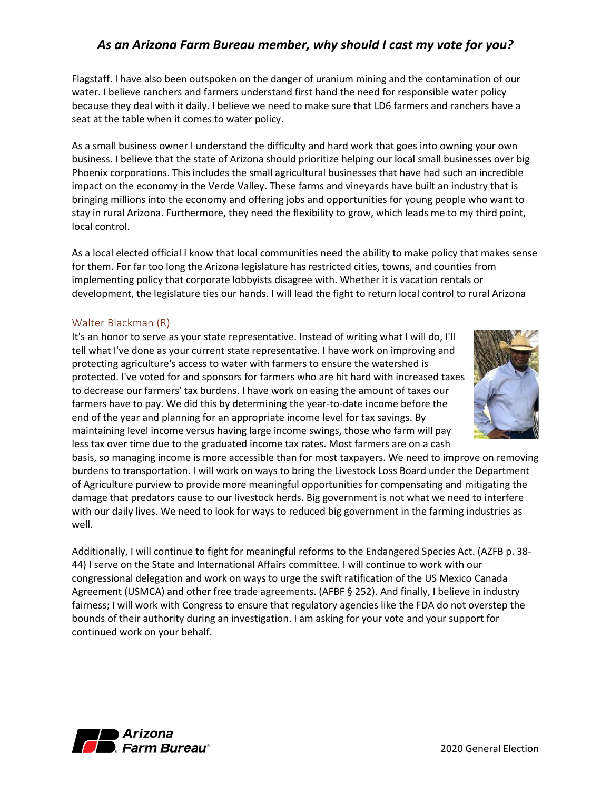Flagstaff. I have also been outspoken on the danger of uranium mining and the contamination of our water. I believe ranchers and farmers understand first hand the need for responsible water policy because they deal with it daily. I believe we need to make sure that LD6 farmers and ranchers have a seat at the table when it comes to water policy.

As a small business owner I understand the difficulty and hard work that goes into owning your own business. I believe that the state of Arizona should prioritize helping our local small businesses over big Phoenix corporations. This includes the small agricultural businesses that have had such an incredible impact on the economy in the Verde Valley. These farms and vineyards have built an industry that is bringing millions into the economy and offering jobs and opportunities for young people who want to stay in rural Arizona. Furthermore, they need the flexibility to grow, which leads me to my third point, local control.

As a local elected official I know that local communities need the ability to make policy that makes sense for them. For far too long the Arizona legislature has restricted cities, towns, and counties from implementing policy that corporate lobbyists disagree with. Whether it is vacation rentals or development, the legislature ties our hands. I will lead the fight to return local control to rural Arizona

#### <span id="page-10-0"></span>Walter Blackman (R)

It's an honor to serve as your state representative. Instead of writing what I will do, I'll tell what I've done as your current state representative. I have work on improving and protecting agriculture's access to water with farmers to ensure the watershed is protected. I've voted for and sponsors for farmers who are hit hard with increased taxes to decrease our farmers' tax burdens. I have work on easing the amount of taxes our farmers have to pay. We did this by determining the year-to-date income before the end of the year and planning for an appropriate income level for tax savings. By maintaining level income versus having large income swings, those who farm will pay less tax over time due to the graduated income tax rates. Most farmers are on a cash



basis, so managing income is more accessible than for most taxpayers. We need to improve on removing burdens to transportation. I will work on ways to bring the Livestock Loss Board under the Department of Agriculture purview to provide more meaningful opportunities for compensating and mitigating the damage that predators cause to our livestock herds. Big government is not what we need to interfere with our daily lives. We need to look for ways to reduced big government in the farming industries as well.

Additionally, I will continue to fight for meaningful reforms to the Endangered Species Act. (AZFB p. 38- 44) I serve on the State and International Affairs committee. I will continue to work with our congressional delegation and work on ways to urge the swift ratification of the US Mexico Canada Agreement (USMCA) and other free trade agreements. (AFBF § 252). And finally, I believe in industry fairness; I will work with Congress to ensure that regulatory agencies like the FDA do not overstep the bounds of their authority during an investigation. I am asking for your vote and your support for continued work on your behalf.

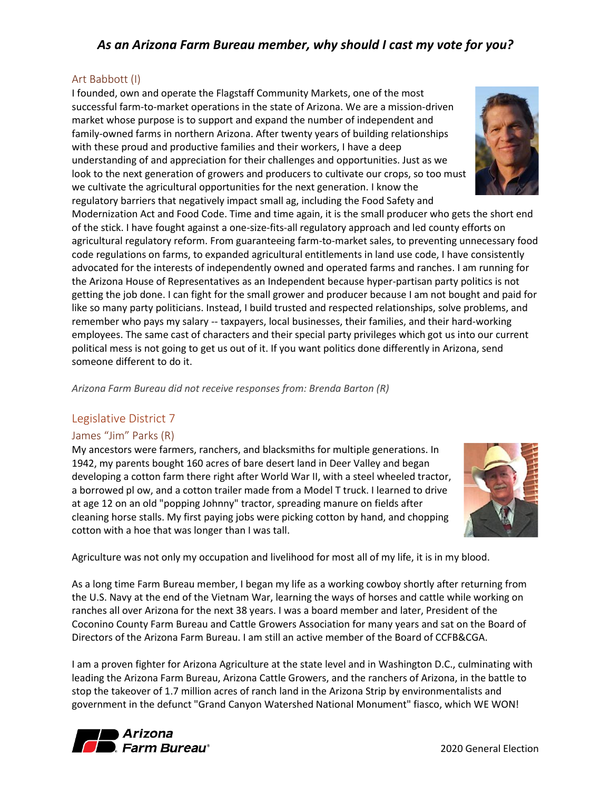#### <span id="page-11-0"></span>Art Babbott (I)

I founded, own and operate the Flagstaff Community Markets, one of the most successful farm-to-market operations in the state of Arizona. We are a mission-driven market whose purpose is to support and expand the number of independent and family-owned farms in northern Arizona. After twenty years of building relationships with these proud and productive families and their workers, I have a deep understanding of and appreciation for their challenges and opportunities. Just as we look to the next generation of growers and producers to cultivate our crops, so too must we cultivate the agricultural opportunities for the next generation. I know the regulatory barriers that negatively impact small ag, including the Food Safety and

Modernization Act and Food Code. Time and time again, it is the small producer who gets the short end of the stick. I have fought against a one-size-fits-all regulatory approach and led county efforts on agricultural regulatory reform. From guaranteeing farm-to-market sales, to preventing unnecessary food code regulations on farms, to expanded agricultural entitlements in land use code, I have consistently advocated for the interests of independently owned and operated farms and ranches. I am running for the Arizona House of Representatives as an Independent because hyper-partisan party politics is not getting the job done. I can fight for the small grower and producer because I am not bought and paid for like so many party politicians. Instead, I build trusted and respected relationships, solve problems, and remember who pays my salary -- taxpayers, local businesses, their families, and their hard-working employees. The same cast of characters and their special party privileges which got us into our current political mess is not going to get us out of it. If you want politics done differently in Arizona, send someone different to do it.

*Arizona Farm Bureau did not receive responses from: Brenda Barton (R)*

#### <span id="page-11-1"></span>Legislative District 7

#### <span id="page-11-2"></span>James "Jim" Parks (R)

My ancestors were farmers, ranchers, and blacksmiths for multiple generations. In 1942, my parents bought 160 acres of bare desert land in Deer Valley and began developing a cotton farm there right after World War II, with a steel wheeled tractor, a borrowed pl ow, and a cotton trailer made from a Model T truck. I learned to drive at age 12 on an old "popping Johnny" tractor, spreading manure on fields after cleaning horse stalls. My first paying jobs were picking cotton by hand, and chopping cotton with a hoe that was longer than I was tall.

Agriculture was not only my occupation and livelihood for most all of my life, it is in my blood.

As a long time Farm Bureau member, I began my life as a working cowboy shortly after returning from the U.S. Navy at the end of the Vietnam War, learning the ways of horses and cattle while working on ranches all over Arizona for the next 38 years. I was a board member and later, President of the Coconino County Farm Bureau and Cattle Growers Association for many years and sat on the Board of Directors of the Arizona Farm Bureau. I am still an active member of the Board of CCFB&CGA.

I am a proven fighter for Arizona Agriculture at the state level and in Washington D.C., culminating with leading the Arizona Farm Bureau, Arizona Cattle Growers, and the ranchers of Arizona, in the battle to stop the takeover of 1.7 million acres of ranch land in the Arizona Strip by environmentalists and government in the defunct "Grand Canyon Watershed National Monument" fiasco, which WE WON!





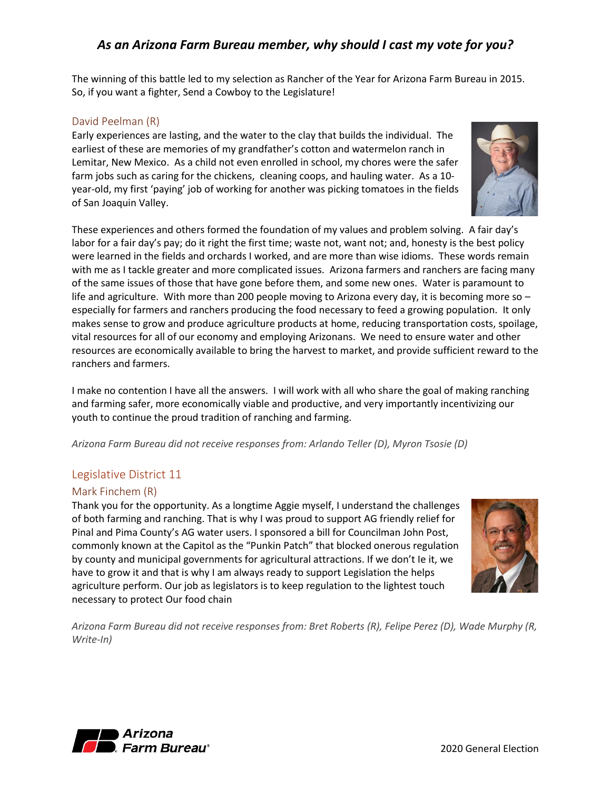The winning of this battle led to my selection as Rancher of the Year for Arizona Farm Bureau in 2015. So, if you want a fighter, Send a Cowboy to the Legislature!

#### <span id="page-12-0"></span>David Peelman (R)

Early experiences are lasting, and the water to the clay that builds the individual. The earliest of these are memories of my grandfather's cotton and watermelon ranch in Lemitar, New Mexico. As a child not even enrolled in school, my chores were the safer farm jobs such as caring for the chickens, cleaning coops, and hauling water. As a 10 year-old, my first 'paying' job of working for another was picking tomatoes in the fields of San Joaquin Valley.



I make no contention I have all the answers. I will work with all who share the goal of making ranching and farming safer, more economically viable and productive, and very importantly incentivizing our youth to continue the proud tradition of ranching and farming.

*Arizona Farm Bureau did not receive responses from: Arlando Teller (D), Myron Tsosie (D)*

#### <span id="page-12-1"></span>Legislative District 11

#### <span id="page-12-2"></span>Mark Finchem (R)

Thank you for the opportunity. As a longtime Aggie myself, I understand the challenges of both farming and ranching. That is why I was proud to support AG friendly relief for Pinal and Pima County's AG water users. I sponsored a bill for Councilman John Post, commonly known at the Capitol as the "Punkin Patch" that blocked onerous regulation by county and municipal governments for agricultural attractions. If we don't Ie it, we have to grow it and that is why I am always ready to support Legislation the helps agriculture perform. Our job as legislators is to keep regulation to the lightest touch necessary to protect Our food chain



*Arizona Farm Bureau did not receive responses from: Bret Roberts (R), Felipe Perez (D), Wade Murphy (R, Write-In)*

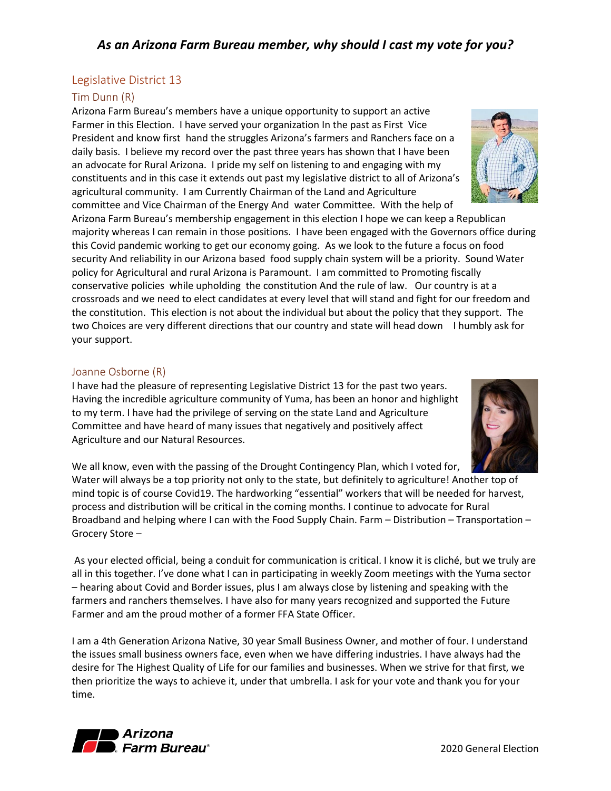#### <span id="page-13-0"></span>Legislative District 13

#### <span id="page-13-1"></span>Tim Dunn (R)

Arizona Farm Bureau's members have a unique opportunity to support an active Farmer in this Election. I have served your organization In the past as First Vice President and know first hand the struggles Arizona's farmers and Ranchers face on a daily basis. I believe my record over the past three years has shown that I have been an advocate for Rural Arizona. I pride my self on listening to and engaging with my constituents and in this case it extends out past my legislative district to all of Arizona's agricultural community. I am Currently Chairman of the Land and Agriculture committee and Vice Chairman of the Energy And water Committee. With the help of

Arizona Farm Bureau's membership engagement in this election I hope we can keep a Republican majority whereas I can remain in those positions. I have been engaged with the Governors office during this Covid pandemic working to get our economy going. As we look to the future a focus on food security And reliability in our Arizona based food supply chain system will be a priority. Sound Water policy for Agricultural and rural Arizona is Paramount. I am committed to Promoting fiscally conservative policies while upholding the constitution And the rule of law. Our country is at a crossroads and we need to elect candidates at every level that will stand and fight for our freedom and the constitution. This election is not about the individual but about the policy that they support. The two Choices are very different directions that our country and state will head down I humbly ask for your support.

#### <span id="page-13-2"></span>Joanne Osborne (R)

I have had the pleasure of representing Legislative District 13 for the past two years. Having the incredible agriculture community of Yuma, has been an honor and highlight to my term. I have had the privilege of serving on the state Land and Agriculture Committee and have heard of many issues that negatively and positively affect Agriculture and our Natural Resources.

We all know, even with the passing of the Drought Contingency Plan, which I voted for, Water will always be a top priority not only to the state, but definitely to agriculture! Another top of mind topic is of course Covid19. The hardworking "essential" workers that will be needed for harvest, process and distribution will be critical in the coming months. I continue to advocate for Rural Broadband and helping where I can with the Food Supply Chain. Farm – Distribution – Transportation – Grocery Store –

As your elected official, being a conduit for communication is critical. I know it is cliché, but we truly are all in this together. I've done what I can in participating in weekly Zoom meetings with the Yuma sector – hearing about Covid and Border issues, plus I am always close by listening and speaking with the farmers and ranchers themselves. I have also for many years recognized and supported the Future Farmer and am the proud mother of a former FFA State Officer.

I am a 4th Generation Arizona Native, 30 year Small Business Owner, and mother of four. I understand the issues small business owners face, even when we have differing industries. I have always had the desire for The Highest Quality of Life for our families and businesses. When we strive for that first, we then prioritize the ways to achieve it, under that umbrella. I ask for your vote and thank you for your time.





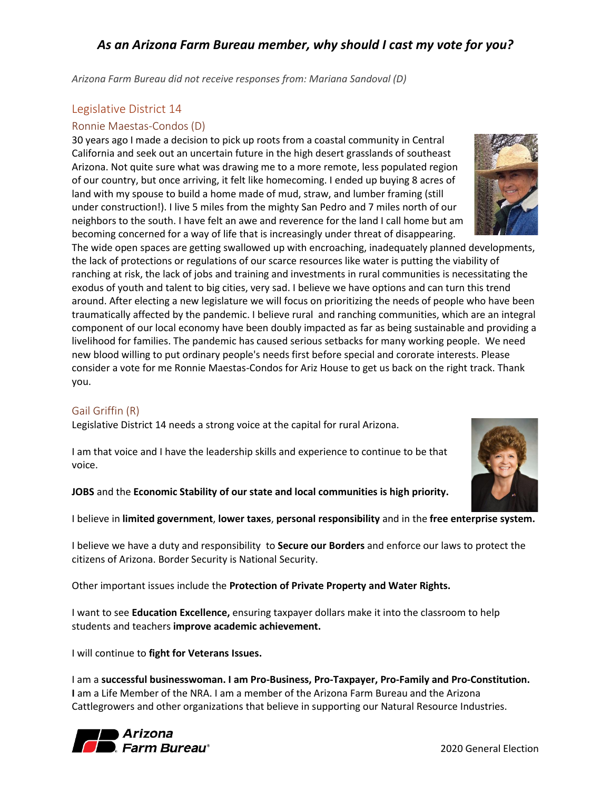*Arizona Farm Bureau did not receive responses from: Mariana Sandoval (D)*

## <span id="page-14-0"></span>Legislative District 14

#### <span id="page-14-1"></span>Ronnie Maestas-Condos (D)

30 years ago I made a decision to pick up roots from a coastal community in Central California and seek out an uncertain future in the high desert grasslands of southeast Arizona. Not quite sure what was drawing me to a more remote, less populated region of our country, but once arriving, it felt like homecoming. I ended up buying 8 acres of land with my spouse to build a home made of mud, straw, and lumber framing (still under construction!). I live 5 miles from the mighty San Pedro and 7 miles north of our neighbors to the south. I have felt an awe and reverence for the land I call home but am becoming concerned for a way of life that is increasingly under threat of disappearing.



The wide open spaces are getting swallowed up with encroaching, inadequately planned developments, the lack of protections or regulations of our scarce resources like water is putting the viability of ranching at risk, the lack of jobs and training and investments in rural communities is necessitating the exodus of youth and talent to big cities, very sad. I believe we have options and can turn this trend around. After electing a new legislature we will focus on prioritizing the needs of people who have been traumatically affected by the pandemic. I believe rural and ranching communities, which are an integral component of our local economy have been doubly impacted as far as being sustainable and providing a livelihood for families. The pandemic has caused serious setbacks for many working people. We need new blood willing to put ordinary people's needs first before special and cororate interests. Please consider a vote for me Ronnie Maestas-Condos for Ariz House to get us back on the right track. Thank you.

#### <span id="page-14-2"></span>Gail Griffin (R)

Legislative District 14 needs a strong voice at the capital for rural Arizona.

I am that voice and I have the leadership skills and experience to continue to be that voice.

**JOBS** and the **Economic Stability of our state and local communities is high priority.**

I believe in **limited government**, **lower taxes**, **personal responsibility** and in the **free enterprise system.**

I believe we have a duty and responsibility to **Secure our Borders** and enforce our laws to protect the citizens of Arizona. Border Security is National Security.

Other important issues include the **Protection of Private Property and Water Rights.**

I want to see **Education Excellence,** ensuring taxpayer dollars make it into the classroom to help students and teachers **improve academic achievement.**

I will continue to **fight for Veterans Issues.**

I am a **successful businesswoman. I am Pro-Business, Pro-Taxpayer, Pro-Family and Pro-Constitution. I** am a Life Member of the NRA. I am a member of the Arizona Farm Bureau and the Arizona Cattlegrowers and other organizations that believe in supporting our Natural Resource Industries.



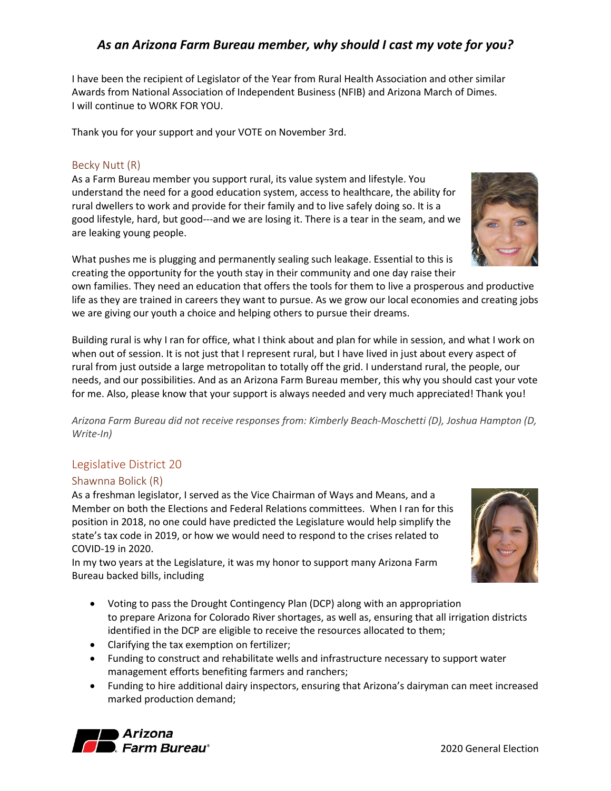I have been the recipient of Legislator of the Year from Rural Health Association and other similar Awards from National Association of Independent Business (NFIB) and Arizona March of Dimes. I will continue to WORK FOR YOU.

Thank you for your support and your VOTE on November 3rd.

#### <span id="page-15-0"></span>Becky Nutt (R)

As a Farm Bureau member you support rural, its value system and lifestyle. You understand the need for a good education system, access to healthcare, the ability for rural dwellers to work and provide for their family and to live safely doing so. It is a good lifestyle, hard, but good---and we are losing it. There is a tear in the seam, and we are leaking young people.

What pushes me is plugging and permanently sealing such leakage. Essential to this is creating the opportunity for the youth stay in their community and one day raise their

own families. They need an education that offers the tools for them to live a prosperous and productive life as they are trained in careers they want to pursue. As we grow our local economies and creating jobs we are giving our youth a choice and helping others to pursue their dreams.

Building rural is why I ran for office, what I think about and plan for while in session, and what I work on when out of session. It is not just that I represent rural, but I have lived in just about every aspect of rural from just outside a large metropolitan to totally off the grid. I understand rural, the people, our needs, and our possibilities. And as an Arizona Farm Bureau member, this why you should cast your vote for me. Also, please know that your support is always needed and very much appreciated! Thank you!

*Arizona Farm Bureau did not receive responses from: Kimberly Beach-Moschetti (D), Joshua Hampton (D, Write-In)*

#### <span id="page-15-1"></span>Legislative District 20

#### <span id="page-15-2"></span>Shawnna Bolick (R)

As a freshman legislator, I served as the Vice Chairman of Ways and Means, and a Member on both the Elections and Federal Relations committees. When I ran for this position in 2018, no one could have predicted the Legislature would help simplify the state's tax code in 2019, or how we would need to respond to the crises related to COVID-19 in 2020.

In my two years at the Legislature, it was my honor to support many Arizona Farm Bureau backed bills, including

- Voting to pass the Drought Contingency Plan (DCP) along with an appropriation to prepare Arizona for Colorado River shortages, as well as, ensuring that all irrigation districts identified in the DCP are eligible to receive the resources allocated to them;
- Clarifying the tax exemption on fertilizer;
- Funding to construct and rehabilitate wells and infrastructure necessary to support water management efforts benefiting farmers and ranchers;
- Funding to hire additional dairy inspectors, ensuring that Arizona's dairyman can meet increased marked production demand;





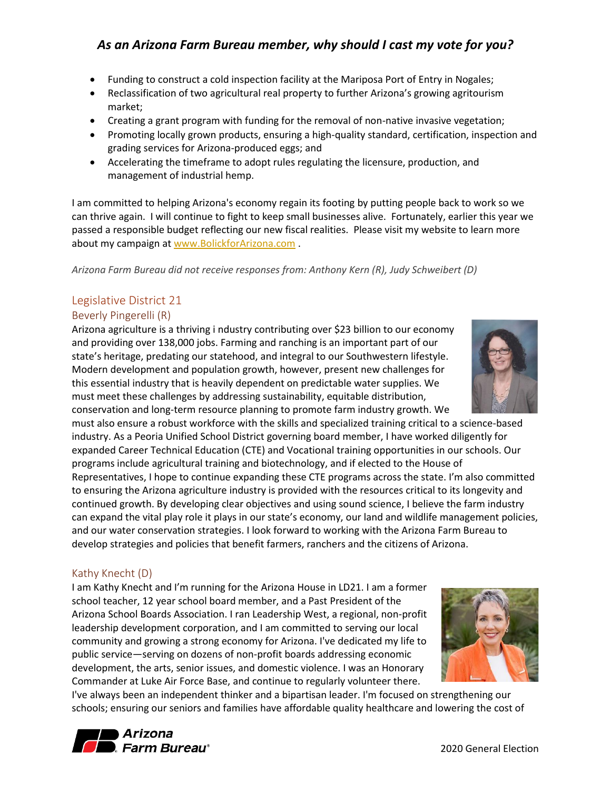- Funding to construct a cold inspection facility at the Mariposa Port of Entry in Nogales;
- Reclassification of two agricultural real property to further Arizona's growing agritourism market;
- Creating a grant program with funding for the removal of non-native invasive vegetation;
- Promoting locally grown products, ensuring a high-quality standard, certification, inspection and grading services for Arizona-produced eggs; and
- Accelerating the timeframe to adopt rules regulating the licensure, production, and management of industrial hemp.

I am committed to helping Arizona's economy regain its footing by putting people back to work so we can thrive again. I will continue to fight to keep small businesses alive. Fortunately, earlier this year we passed a responsible budget reflecting our new fiscal realities. Please visit my website to learn more about my campaign at [www.BolickforArizona.com](http://www.bolickforarizona.com/).

*Arizona Farm Bureau did not receive responses from: Anthony Kern (R), Judy Schweibert (D)*

## <span id="page-16-0"></span>Legislative District 21

#### <span id="page-16-1"></span>Beverly Pingerelli (R)

Arizona agriculture is a thriving i ndustry contributing over \$23 billion to our economy and providing over 138,000 jobs. Farming and ranching is an important part of our state's heritage, predating our statehood, and integral to our Southwestern lifestyle. Modern development and population growth, however, present new challenges for this essential industry that is heavily dependent on predictable water supplies. We must meet these challenges by addressing sustainability, equitable distribution, conservation and long-term resource planning to promote farm industry growth. We

must also ensure a robust workforce with the skills and specialized training critical to a science-based industry. As a Peoria Unified School District governing board member, I have worked diligently for expanded Career Technical Education (CTE) and Vocational training opportunities in our schools. Our programs include agricultural training and biotechnology, and if elected to the House of Representatives, I hope to continue expanding these CTE programs across the state. I'm also committed to ensuring the Arizona agriculture industry is provided with the resources critical to its longevity and continued growth. By developing clear objectives and using sound science, I believe the farm industry can expand the vital play role it plays in our state's economy, our land and wildlife management policies, and our water conservation strategies. I look forward to working with the Arizona Farm Bureau to develop strategies and policies that benefit farmers, ranchers and the citizens of Arizona.

#### <span id="page-16-2"></span>Kathy Knecht (D)

I am Kathy Knecht and I'm running for the Arizona House in LD21. I am a former school teacher, 12 year school board member, and a Past President of the Arizona School Boards Association. I ran Leadership West, a regional, non-profit leadership development corporation, and I am committed to serving our local community and growing a strong economy for Arizona. I've dedicated my life to public service—serving on dozens of non-profit boards addressing economic development, the arts, senior issues, and domestic violence. I was an Honorary Commander at Luke Air Force Base, and continue to regularly volunteer there.

I've always been an independent thinker and a bipartisan leader. I'm focused on strengthening our schools; ensuring our seniors and families have affordable quality healthcare and lowering the cost of